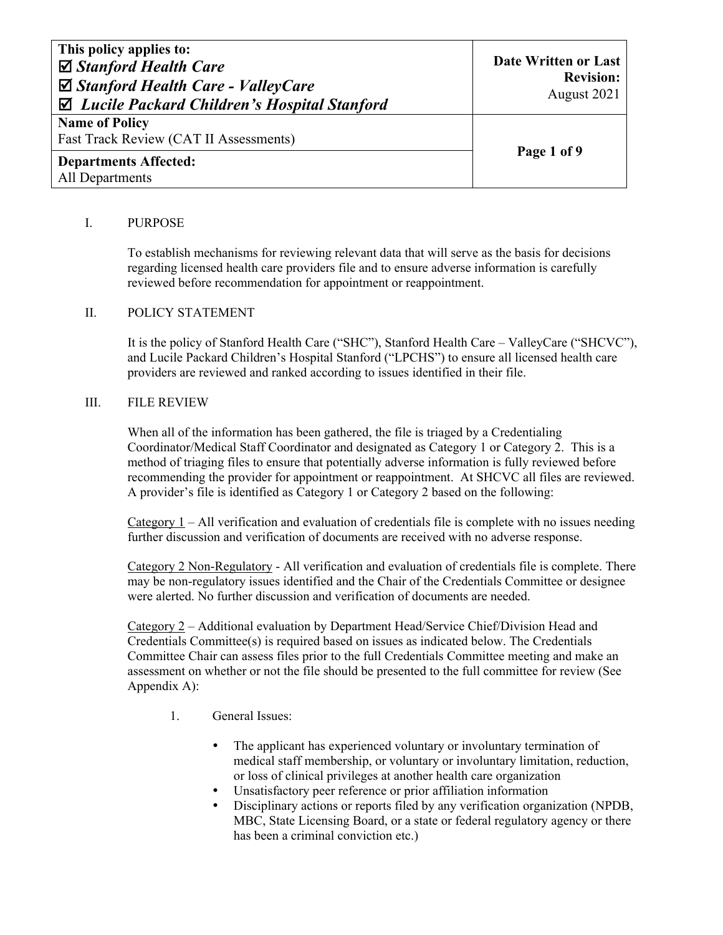| This policy applies to:<br>$\boxtimes$ Stanford Health Care<br>$\boxtimes$ Stanford Health Care - ValleyCare<br>$\boxtimes$ Lucile Packard Children's Hospital Stanford | Date Written or Last<br><b>Revision:</b><br>August 2021 |
|-------------------------------------------------------------------------------------------------------------------------------------------------------------------------|---------------------------------------------------------|
| <b>Name of Policy</b><br>Fast Track Review (CAT II Assessments)                                                                                                         |                                                         |
| <b>Departments Affected:</b><br>All Departments                                                                                                                         | Page 1 of 9                                             |

# I. PURPOSE

To establish mechanisms for reviewing relevant data that will serve as the basis for decisions regarding licensed health care providers file and to ensure adverse information is carefully reviewed before recommendation for appointment or reappointment.

#### II. POLICY STATEMENT

It is the policy of Stanford Health Care ("SHC"), Stanford Health Care – ValleyCare ("SHCVC"), and Lucile Packard Children's Hospital Stanford ("LPCHS") to ensure all licensed health care providers are reviewed and ranked according to issues identified in their file.

#### III. FILE REVIEW

When all of the information has been gathered, the file is triaged by a Credentialing Coordinator/Medical Staff Coordinator and designated as Category 1 or Category 2. This is a method of triaging files to ensure that potentially adverse information is fully reviewed before recommending the provider for appointment or reappointment. At SHCVC all files are reviewed. A provider's file is identified as Category 1 or Category 2 based on the following:

Category 1 – All verification and evaluation of credentials file is complete with no issues needing further discussion and verification of documents are received with no adverse response.

Category 2 Non-Regulatory - All verification and evaluation of credentials file is complete. There may be non-regulatory issues identified and the Chair of the Credentials Committee or designee were alerted. No further discussion and verification of documents are needed.

Category 2 – Additional evaluation by Department Head/Service Chief/Division Head and Credentials Committee(s) is required based on issues as indicated below. The Credentials Committee Chair can assess files prior to the full Credentials Committee meeting and make an assessment on whether or not the file should be presented to the full committee for review (See Appendix A):

- 1. General Issues:
	- The applicant has experienced voluntary or involuntary termination of medical staff membership, or voluntary or involuntary limitation, reduction, or loss of clinical privileges at another health care organization
	- Unsatisfactory peer reference or prior affiliation information
	- Disciplinary actions or reports filed by any verification organization (NPDB, MBC, State Licensing Board, or a state or federal regulatory agency or there has been a criminal conviction etc.)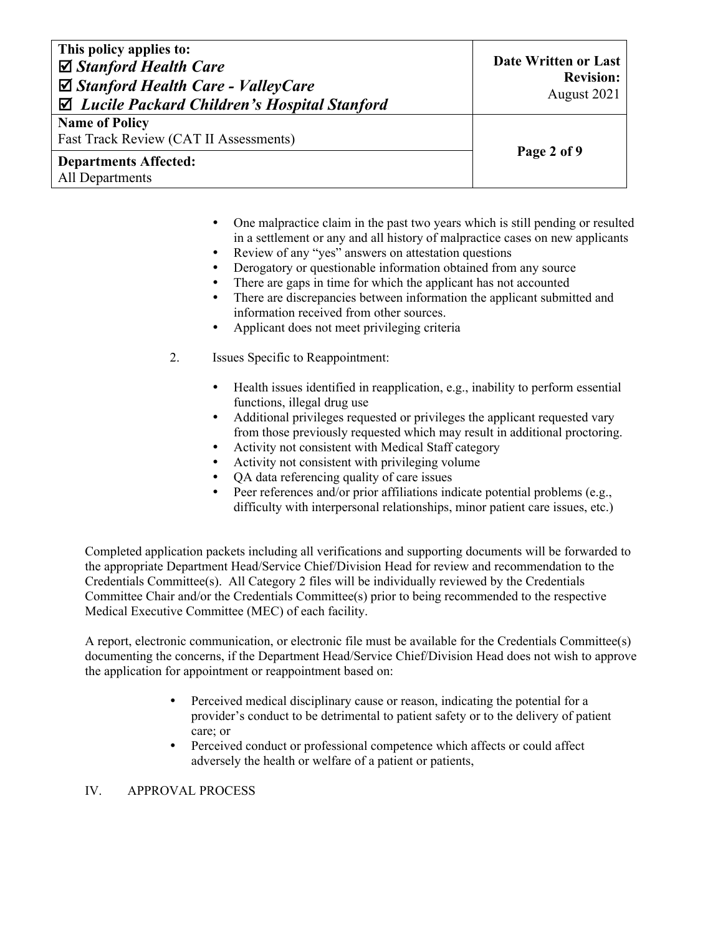| This policy applies to:<br>$\boxtimes$ Stanford Health Care<br>$\boxtimes$ Stanford Health Care - ValleyCare<br>$\boxtimes$ Lucile Packard Children's Hospital Stanford | Date Written or Last<br><b>Revision:</b><br>August 2021 |
|-------------------------------------------------------------------------------------------------------------------------------------------------------------------------|---------------------------------------------------------|
| <b>Name of Policy</b><br>Fast Track Review (CAT II Assessments)                                                                                                         |                                                         |
| <b>Departments Affected:</b><br>All Departments                                                                                                                         | Page 2 of 9                                             |

- One malpractice claim in the past two years which is still pending or resulted in a settlement or any and all history of malpractice cases on new applicants
- Review of any "yes" answers on attestation questions
- Derogatory or questionable information obtained from any source
- There are gaps in time for which the applicant has not accounted
- There are discrepancies between information the applicant submitted and information received from other sources.
- Applicant does not meet privileging criteria
- 2. Issues Specific to Reappointment:
	- Health issues identified in reapplication, e.g., inability to perform essential functions, illegal drug use
	- Additional privileges requested or privileges the applicant requested vary from those previously requested which may result in additional proctoring.
	- Activity not consistent with Medical Staff category
	- Activity not consistent with privileging volume
	- QA data referencing quality of care issues
	- Peer references and/or prior affiliations indicate potential problems (e.g., difficulty with interpersonal relationships, minor patient care issues, etc.)

Completed application packets including all verifications and supporting documents will be forwarded to the appropriate Department Head/Service Chief/Division Head for review and recommendation to the Credentials Committee(s). All Category 2 files will be individually reviewed by the Credentials Committee Chair and/or the Credentials Committee(s) prior to being recommended to the respective Medical Executive Committee (MEC) of each facility.

A report, electronic communication, or electronic file must be available for the Credentials Committee(s) documenting the concerns, if the Department Head/Service Chief/Division Head does not wish to approve the application for appointment or reappointment based on:

- Perceived medical disciplinary cause or reason, indicating the potential for a provider's conduct to be detrimental to patient safety or to the delivery of patient care; or
- Perceived conduct or professional competence which affects or could affect adversely the health or welfare of a patient or patients,

# IV. APPROVAL PROCESS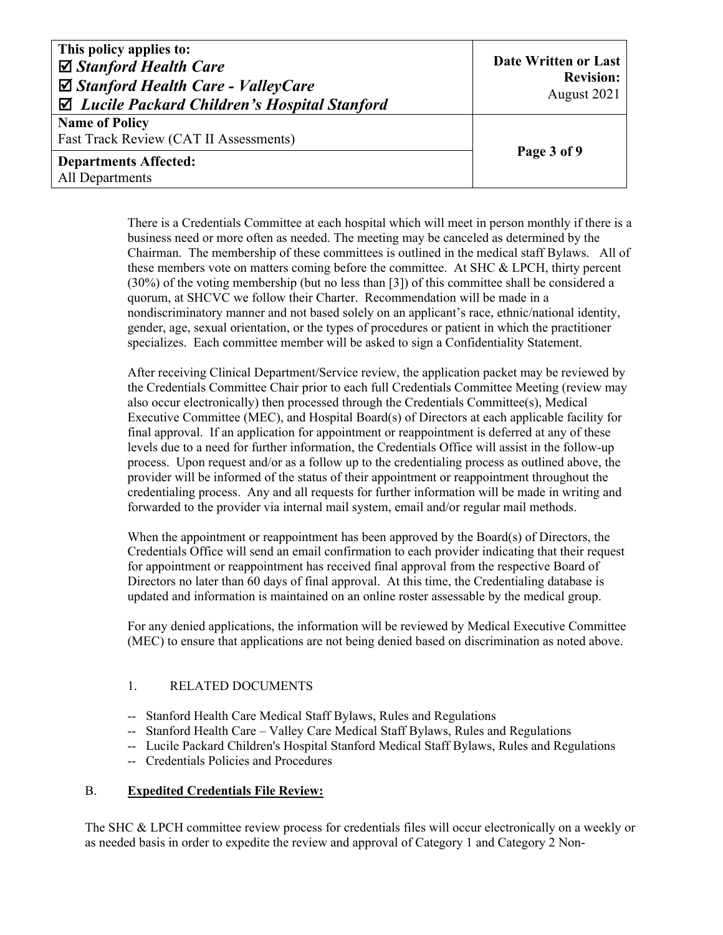| This policy applies to:<br>$\boxtimes$ Stanford Health Care<br>$\boxtimes$ Stanford Health Care - ValleyCare<br>$\boxtimes$ Lucile Packard Children's Hospital Stanford | Date Written or Last<br><b>Revision:</b><br>August 2021 |
|-------------------------------------------------------------------------------------------------------------------------------------------------------------------------|---------------------------------------------------------|
| <b>Name of Policy</b>                                                                                                                                                   |                                                         |
| Fast Track Review (CAT II Assessments)                                                                                                                                  |                                                         |
| <b>Departments Affected:</b><br>All Departments                                                                                                                         | Page 3 of 9                                             |

There is a Credentials Committee at each hospital which will meet in person monthly if there is a business need or more often as needed. The meeting may be canceled as determined by the Chairman. The membership of these committees is outlined in the medical staff Bylaws. All of these members vote on matters coming before the committee. At SHC & LPCH, thirty percent (30%) of the voting membership (but no less than [3]) of this committee shall be considered a quorum, at SHCVC we follow their Charter. Recommendation will be made in a nondiscriminatory manner and not based solely on an applicant's race, ethnic/national identity, gender, age, sexual orientation, or the types of procedures or patient in which the practitioner specializes. Each committee member will be asked to sign a Confidentiality Statement.

After receiving Clinical Department/Service review, the application packet may be reviewed by the Credentials Committee Chair prior to each full Credentials Committee Meeting (review may also occur electronically) then processed through the Credentials Committee(s), Medical Executive Committee (MEC), and Hospital Board(s) of Directors at each applicable facility for final approval. If an application for appointment or reappointment is deferred at any of these levels due to a need for further information, the Credentials Office will assist in the follow-up process. Upon request and/or as a follow up to the credentialing process as outlined above, the provider will be informed of the status of their appointment or reappointment throughout the credentialing process. Any and all requests for further information will be made in writing and forwarded to the provider via internal mail system, email and/or regular mail methods.

When the appointment or reappointment has been approved by the Board(s) of Directors, the Credentials Office will send an email confirmation to each provider indicating that their request for appointment or reappointment has received final approval from the respective Board of Directors no later than 60 days of final approval. At this time, the Credentialing database is updated and information is maintained on an online roster assessable by the medical group.

For any denied applications, the information will be reviewed by Medical Executive Committee (MEC) to ensure that applications are not being denied based on discrimination as noted above.

# 1. RELATED DOCUMENTS

- -- Stanford Health Care Medical Staff Bylaws, Rules and Regulations
- -- Stanford Health Care Valley Care Medical Staff Bylaws, Rules and Regulations
- -- Lucile Packard Children's Hospital Stanford Medical Staff Bylaws, Rules and Regulations
- -- Credentials Policies and Procedures

#### B. **Expedited Credentials File Review:**

The SHC & LPCH committee review process for credentials files will occur electronically on a weekly or as needed basis in order to expedite the review and approval of Category 1 and Category 2 Non-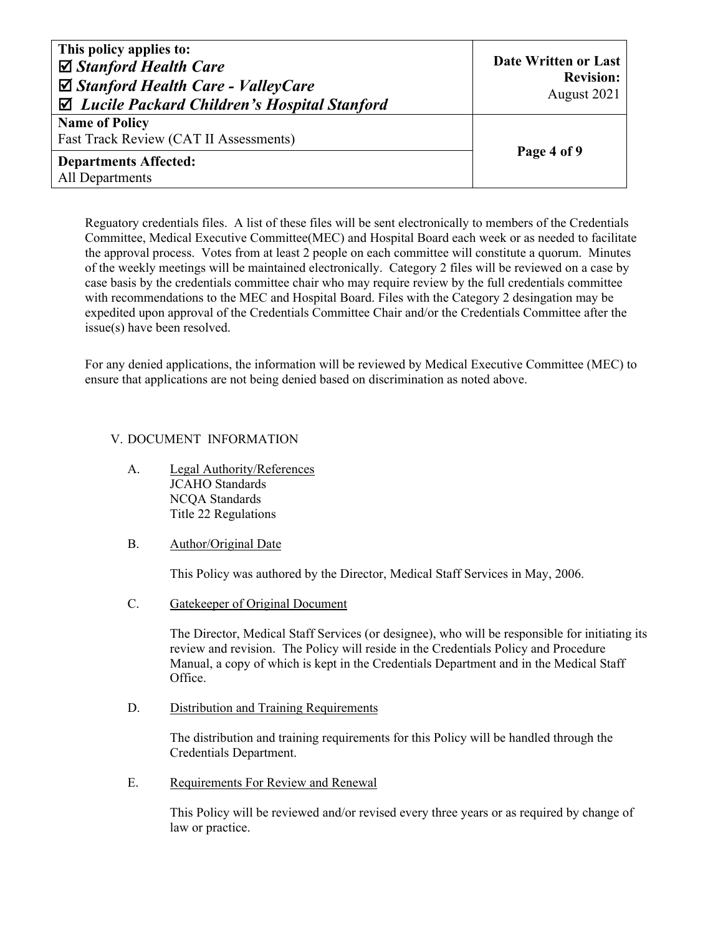| This policy applies to:<br>$\boxtimes$ Stanford Health Care<br>$\boxtimes$ Stanford Health Care - ValleyCare<br>$\boxtimes$ Lucile Packard Children's Hospital Stanford | Date Written or Last<br><b>Revision:</b><br>August 2021 |
|-------------------------------------------------------------------------------------------------------------------------------------------------------------------------|---------------------------------------------------------|
| <b>Name of Policy</b><br>Fast Track Review (CAT II Assessments)                                                                                                         |                                                         |
| <b>Departments Affected:</b><br>All Departments                                                                                                                         | Page 4 of 9                                             |

Reguatory credentials files. A list of these files will be sent electronically to members of the Credentials Committee, Medical Executive Committee(MEC) and Hospital Board each week or as needed to facilitate the approval process. Votes from at least 2 people on each committee will constitute a quorum. Minutes of the weekly meetings will be maintained electronically. Category 2 files will be reviewed on a case by case basis by the credentials committee chair who may require review by the full credentials committee with recommendations to the MEC and Hospital Board. Files with the Category 2 desingation may be expedited upon approval of the Credentials Committee Chair and/or the Credentials Committee after the issue(s) have been resolved.

For any denied applications, the information will be reviewed by Medical Executive Committee (MEC) to ensure that applications are not being denied based on discrimination as noted above.

# V. DOCUMENT INFORMATION

- A. Legal Authority/References JCAHO Standards NCQA Standards Title 22 Regulations
- B. Author/Original Date

This Policy was authored by the Director, Medical Staff Services in May, 2006.

C. Gatekeeper of Original Document

The Director, Medical Staff Services (or designee), who will be responsible for initiating its review and revision. The Policy will reside in the Credentials Policy and Procedure Manual, a copy of which is kept in the Credentials Department and in the Medical Staff Office.

D. Distribution and Training Requirements

The distribution and training requirements for this Policy will be handled through the Credentials Department.

E. Requirements For Review and Renewal

This Policy will be reviewed and/or revised every three years or as required by change of law or practice.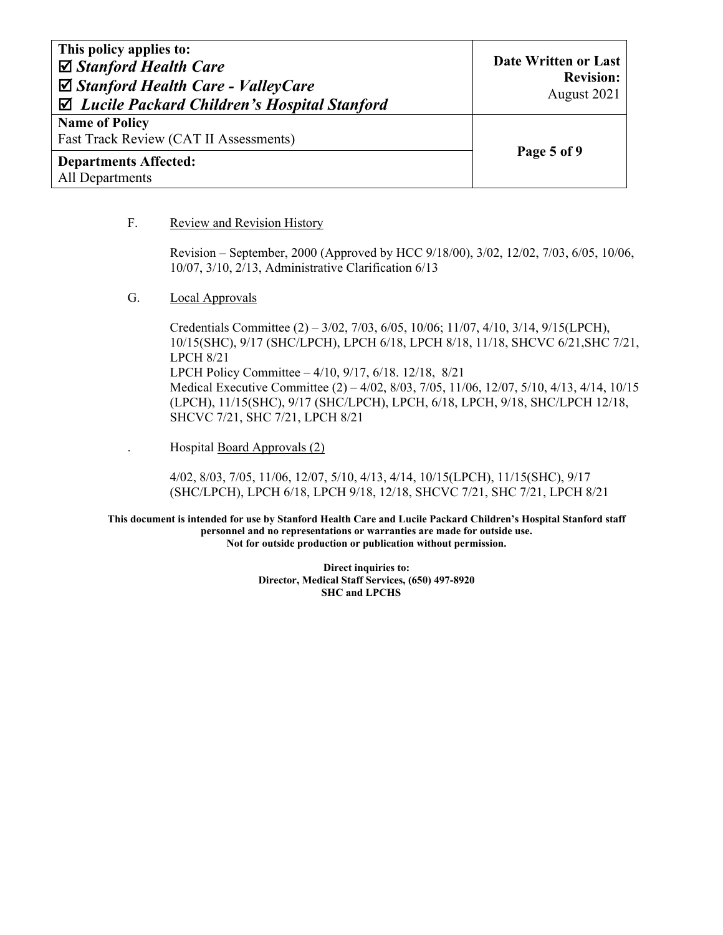| This policy applies to:<br>$\boxtimes$ Stanford Health Care<br>$\boxtimes$ Stanford Health Care - ValleyCare<br>$\boxtimes$ Lucile Packard Children's Hospital Stanford | Date Written or Last<br><b>Revision:</b><br>August 2021 |
|-------------------------------------------------------------------------------------------------------------------------------------------------------------------------|---------------------------------------------------------|
| <b>Name of Policy</b><br>Fast Track Review (CAT II Assessments)                                                                                                         |                                                         |
| <b>Departments Affected:</b><br>All Departments                                                                                                                         | Page 5 of 9                                             |

#### F. Review and Revision History

Revision – September, 2000 (Approved by HCC 9/18/00), 3/02, 12/02, 7/03, 6/05, 10/06, 10/07, 3/10, 2/13, Administrative Clarification 6/13

G. Local Approvals

Credentials Committee (2) – 3/02, 7/03, 6/05, 10/06; 11/07, 4/10, 3/14, 9/15(LPCH), 10/15(SHC), 9/17 (SHC/LPCH), LPCH 6/18, LPCH 8/18, 11/18, SHCVC 6/21,SHC 7/21, LPCH 8/21 LPCH Policy Committee – 4/10, 9/17, 6/18. 12/18, 8/21 Medical Executive Committee (2) – 4/02, 8/03, 7/05, 11/06, 12/07, 5/10, 4/13, 4/14, 10/15 (LPCH), 11/15(SHC), 9/17 (SHC/LPCH), LPCH, 6/18, LPCH, 9/18, SHC/LPCH 12/18, SHCVC 7/21, SHC 7/21, LPCH 8/21

. Hospital Board Approvals (2)

4/02, 8/03, 7/05, 11/06, 12/07, 5/10, 4/13, 4/14, 10/15(LPCH), 11/15(SHC), 9/17 (SHC/LPCH), LPCH 6/18, LPCH 9/18, 12/18, SHCVC 7/21, SHC 7/21, LPCH 8/21

**This document is intended for use by Stanford Health Care and Lucile Packard Children's Hospital Stanford staff personnel and no representations or warranties are made for outside use. Not for outside production or publication without permission.** 

> **Direct inquiries to: Director, Medical Staff Services, (650) 497-8920 SHC and LPCHS**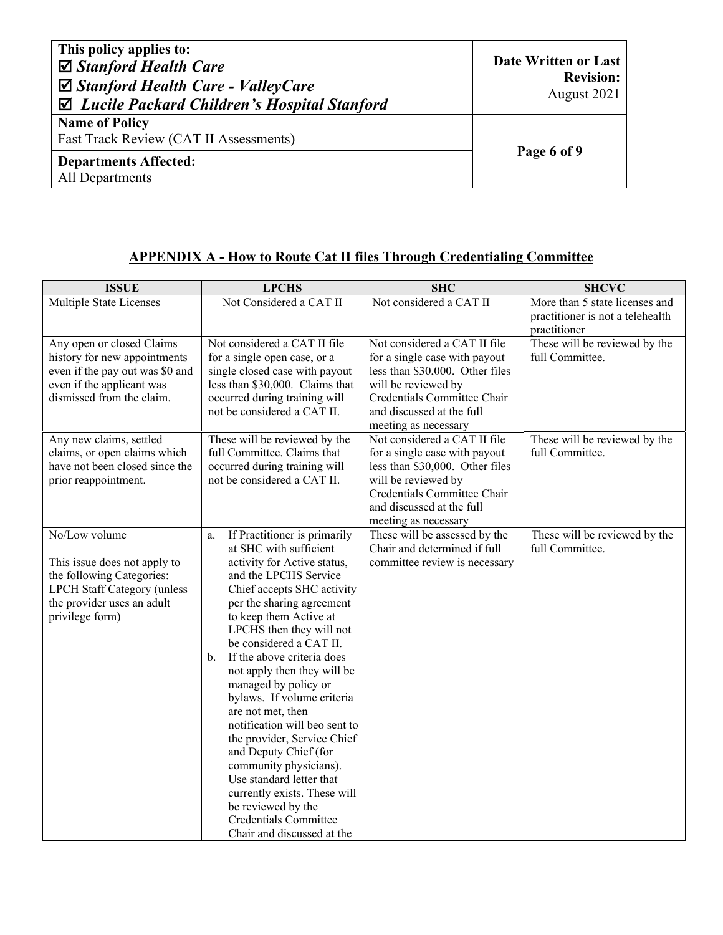| This policy applies to:<br>$\boxtimes$ Stanford Health Care<br>$\boxtimes$ Stanford Health Care - ValleyCare<br>$\boxtimes$ Lucile Packard Children's Hospital Stanford | Date Written or Last<br><b>Revision:</b><br>August 2021 |
|-------------------------------------------------------------------------------------------------------------------------------------------------------------------------|---------------------------------------------------------|
| <b>Name of Policy</b><br>Fast Track Review (CAT II Assessments)                                                                                                         |                                                         |
| <b>Departments Affected:</b><br>All Departments                                                                                                                         | Page 6 of 9                                             |

# **APPENDIX A - How to Route Cat II files Through Credentialing Committee**

| <b>LPCHS</b>                                                                                                                                                                                                                                                                                                                                                                                                                                                                                                                                                                                                                                                    | <b>SHC</b>                                                                                                                                                                                                  | <b>SHCVC</b>                                                                       |
|-----------------------------------------------------------------------------------------------------------------------------------------------------------------------------------------------------------------------------------------------------------------------------------------------------------------------------------------------------------------------------------------------------------------------------------------------------------------------------------------------------------------------------------------------------------------------------------------------------------------------------------------------------------------|-------------------------------------------------------------------------------------------------------------------------------------------------------------------------------------------------------------|------------------------------------------------------------------------------------|
| Not Considered a CAT II                                                                                                                                                                                                                                                                                                                                                                                                                                                                                                                                                                                                                                         | Not considered a CAT II                                                                                                                                                                                     | More than 5 state licenses and<br>practitioner is not a telehealth<br>practitioner |
| for a single open case, or a<br>single closed case with payout<br>less than \$30,000. Claims that<br>occurred during training will<br>not be considered a CAT II.                                                                                                                                                                                                                                                                                                                                                                                                                                                                                               | for a single case with payout<br>less than \$30,000. Other files<br>will be reviewed by<br>Credentials Committee Chair<br>and discussed at the full                                                         | These will be reviewed by the<br>full Committee.                                   |
| These will be reviewed by the<br>full Committee. Claims that<br>occurred during training will<br>not be considered a CAT II.                                                                                                                                                                                                                                                                                                                                                                                                                                                                                                                                    | Not considered a CAT II file<br>for a single case with payout<br>less than \$30,000. Other files<br>will be reviewed by<br>Credentials Committee Chair<br>and discussed at the full<br>meeting as necessary | These will be reviewed by the<br>full Committee.                                   |
| If Practitioner is primarily<br>a.<br>at SHC with sufficient<br>activity for Active status,<br>and the LPCHS Service<br>Chief accepts SHC activity<br>per the sharing agreement<br>to keep them Active at<br>LPCHS then they will not<br>be considered a CAT II.<br>If the above criteria does<br>$\mathbf{b}$ .<br>not apply then they will be<br>managed by policy or<br>bylaws. If volume criteria<br>are not met, then<br>notification will beo sent to<br>the provider, Service Chief<br>and Deputy Chief (for<br>community physicians).<br>Use standard letter that<br>currently exists. These will<br>be reviewed by the<br><b>Credentials Committee</b> | These will be assessed by the<br>Chair and determined if full<br>committee review is necessary                                                                                                              | These will be reviewed by the<br>full Committee.                                   |
|                                                                                                                                                                                                                                                                                                                                                                                                                                                                                                                                                                                                                                                                 | Not considered a CAT II file<br>Chair and discussed at the                                                                                                                                                  | Not considered a CAT II file<br>meeting as necessary                               |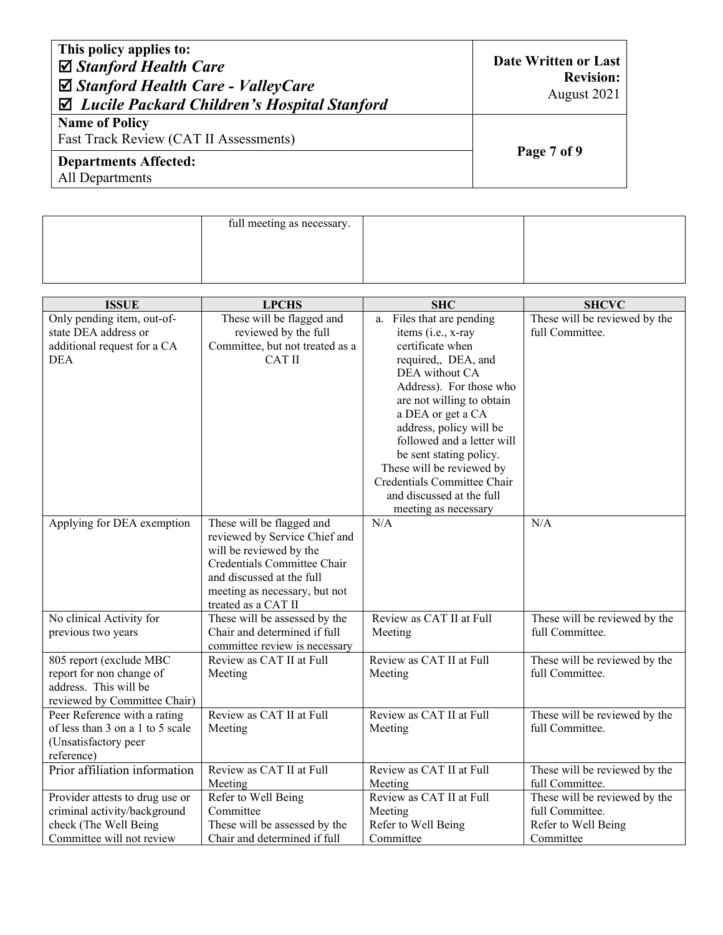| This policy applies to:<br>$\boxtimes$ Stanford Health Care<br>$\boxtimes$ Stanford Health Care - ValleyCare<br>$\boxtimes$ Lucile Packard Children's Hospital Stanford | Date Written or Last<br><b>Revision:</b><br>August 2021 |
|-------------------------------------------------------------------------------------------------------------------------------------------------------------------------|---------------------------------------------------------|
| <b>Name of Policy</b><br>Fast Track Review (CAT II Assessments)                                                                                                         |                                                         |
| <b>Departments Affected:</b><br>All Departments                                                                                                                         | Page 7 of 9                                             |

|                                                                                                                       | full meeting as necessary.                                                                                                                                                                                |                                                                                                                                                                                                                                                                                                                                                                                                |                                                                                      |
|-----------------------------------------------------------------------------------------------------------------------|-----------------------------------------------------------------------------------------------------------------------------------------------------------------------------------------------------------|------------------------------------------------------------------------------------------------------------------------------------------------------------------------------------------------------------------------------------------------------------------------------------------------------------------------------------------------------------------------------------------------|--------------------------------------------------------------------------------------|
|                                                                                                                       |                                                                                                                                                                                                           |                                                                                                                                                                                                                                                                                                                                                                                                |                                                                                      |
| <b>ISSUE</b>                                                                                                          | <b>LPCHS</b>                                                                                                                                                                                              | <b>SHC</b>                                                                                                                                                                                                                                                                                                                                                                                     | <b>SHCVC</b>                                                                         |
| Only pending item, out-of-<br>state DEA address or<br>additional request for a CA<br><b>DEA</b>                       | These will be flagged and<br>reviewed by the full<br>Committee, but not treated as a<br><b>CAT II</b>                                                                                                     | a. Files that are pending<br>items (i.e., x-ray<br>certificate when<br>required,, DEA, and<br>DEA without CA<br>Address). For those who<br>are not willing to obtain<br>a DEA or get a CA<br>address, policy will be<br>followed and a letter will<br>be sent stating policy.<br>These will be reviewed by<br>Credentials Committee Chair<br>and discussed at the full<br>meeting as necessary | These will be reviewed by the<br>full Committee.                                     |
| Applying for DEA exemption                                                                                            | These will be flagged and<br>reviewed by Service Chief and<br>will be reviewed by the<br>Credentials Committee Chair<br>and discussed at the full<br>meeting as necessary, but not<br>treated as a CAT II | N/A                                                                                                                                                                                                                                                                                                                                                                                            | N/A                                                                                  |
| No clinical Activity for<br>previous two years                                                                        | These will be assessed by the<br>Chair and determined if full<br>committee review is necessary                                                                                                            | Review as CAT II at Full<br>Meeting                                                                                                                                                                                                                                                                                                                                                            | These will be reviewed by the<br>full Committee.                                     |
| 805 report (exclude MBC<br>report for non change of<br>address. This will be<br>reviewed by Committee Chair)          | Review as CAT II at Full<br>Meeting                                                                                                                                                                       | Review as CAT II at Full<br>Meeting                                                                                                                                                                                                                                                                                                                                                            | These will be reviewed by the<br>full Committee.                                     |
| Peer Reference with a rating<br>of less than 3 on a 1 to 5 scale<br>(Unsatisfactory peer<br>reference)                | Review as CAT II at Full<br>Meeting                                                                                                                                                                       | Review as CAT II at Full<br>Meeting                                                                                                                                                                                                                                                                                                                                                            | These will be reviewed by the<br>full Committee.                                     |
| Prior affiliation information                                                                                         | Review as CAT II at Full<br>Meeting                                                                                                                                                                       | Review as CAT II at Full<br>Meeting                                                                                                                                                                                                                                                                                                                                                            | These will be reviewed by the<br>full Committee.                                     |
| Provider attests to drug use or<br>criminal activity/background<br>check (The Well Being<br>Committee will not review | Refer to Well Being<br>Committee<br>These will be assessed by the<br>Chair and determined if full                                                                                                         | Review as CAT II at Full<br>Meeting<br>Refer to Well Being<br>Committee                                                                                                                                                                                                                                                                                                                        | These will be reviewed by the<br>full Committee.<br>Refer to Well Being<br>Committee |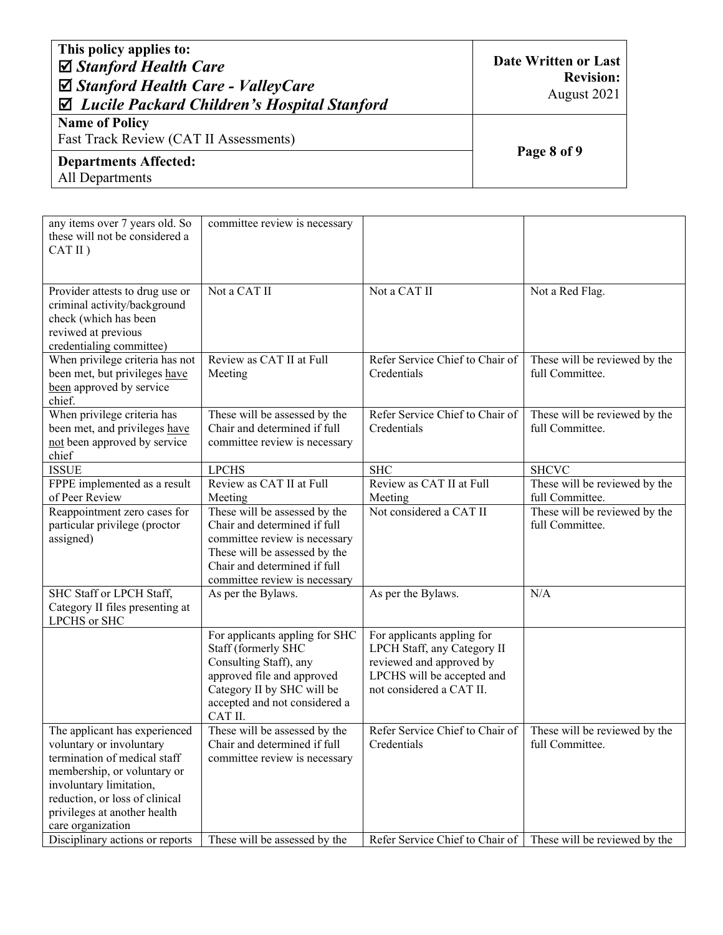| This policy applies to:<br>$\boxtimes$ Stanford Health Care<br>$\boxtimes$ Stanford Health Care - ValleyCare<br>$\boxtimes$ Lucile Packard Children's Hospital Stanford | Date Written or Last<br><b>Revision:</b><br>August 2021 |
|-------------------------------------------------------------------------------------------------------------------------------------------------------------------------|---------------------------------------------------------|
| <b>Name of Policy</b><br>Fast Track Review (CAT II Assessments)                                                                                                         |                                                         |
| <b>Departments Affected:</b><br>All Departments                                                                                                                         | Page 8 of 9                                             |

| any items over 7 years old. So<br>these will not be considered a<br>CAT II)                                                                                                                                                                | committee review is necessary                                                                                                                                                                    |                                                                                                                                                 |                                                  |
|--------------------------------------------------------------------------------------------------------------------------------------------------------------------------------------------------------------------------------------------|--------------------------------------------------------------------------------------------------------------------------------------------------------------------------------------------------|-------------------------------------------------------------------------------------------------------------------------------------------------|--------------------------------------------------|
| Provider attests to drug use or<br>criminal activity/background<br>check (which has been<br>reviwed at previous<br>credentialing committee)                                                                                                | Not a CAT II                                                                                                                                                                                     | Not a CAT II                                                                                                                                    | Not a Red Flag.                                  |
| When privilege criteria has not<br>been met, but privileges have<br>been approved by service<br>chief.                                                                                                                                     | Review as CAT II at Full<br>Meeting                                                                                                                                                              | Refer Service Chief to Chair of<br>Credentials                                                                                                  | These will be reviewed by the<br>full Committee. |
| When privilege criteria has<br>been met, and privileges have<br>not been approved by service<br>chief                                                                                                                                      | These will be assessed by the<br>Chair and determined if full<br>committee review is necessary                                                                                                   | Refer Service Chief to Chair of<br>Credentials                                                                                                  | These will be reviewed by the<br>full Committee. |
| <b>ISSUE</b>                                                                                                                                                                                                                               | <b>LPCHS</b>                                                                                                                                                                                     | <b>SHC</b>                                                                                                                                      | <b>SHCVC</b>                                     |
| FPPE implemented as a result<br>of Peer Review                                                                                                                                                                                             | Review as CAT II at Full<br>Meeting                                                                                                                                                              | Review as CAT II at Full<br>Meeting                                                                                                             | These will be reviewed by the<br>full Committee. |
| Reappointment zero cases for<br>particular privilege (proctor<br>assigned)                                                                                                                                                                 | These will be assessed by the<br>Chair and determined if full<br>committee review is necessary<br>These will be assessed by the<br>Chair and determined if full<br>committee review is necessary | Not considered a CAT II                                                                                                                         | These will be reviewed by the<br>full Committee. |
| SHC Staff or LPCH Staff,<br>Category II files presenting at<br>LPCHS or SHC                                                                                                                                                                | As per the Bylaws.                                                                                                                                                                               | As per the Bylaws.                                                                                                                              | N/A                                              |
|                                                                                                                                                                                                                                            | For applicants appling for SHC<br>Staff (formerly SHC<br>Consulting Staff), any<br>approved file and approved<br>Category II by SHC will be<br>accepted and not considered a<br>CAT II.          | For applicants appling for<br>LPCH Staff, any Category II<br>reviewed and approved by<br>LPCHS will be accepted and<br>not considered a CAT II. |                                                  |
| The applicant has experienced<br>voluntary or involuntary<br>termination of medical staff<br>membership, or voluntary or<br>involuntary limitation,<br>reduction, or loss of clinical<br>privileges at another health<br>care organization | These will be assessed by the<br>Chair and determined if full<br>committee review is necessary                                                                                                   | Refer Service Chief to Chair of<br>Credentials                                                                                                  | These will be reviewed by the<br>full Committee. |
| Disciplinary actions or reports                                                                                                                                                                                                            | These will be assessed by the                                                                                                                                                                    | Refer Service Chief to Chair of   These will be reviewed by the                                                                                 |                                                  |